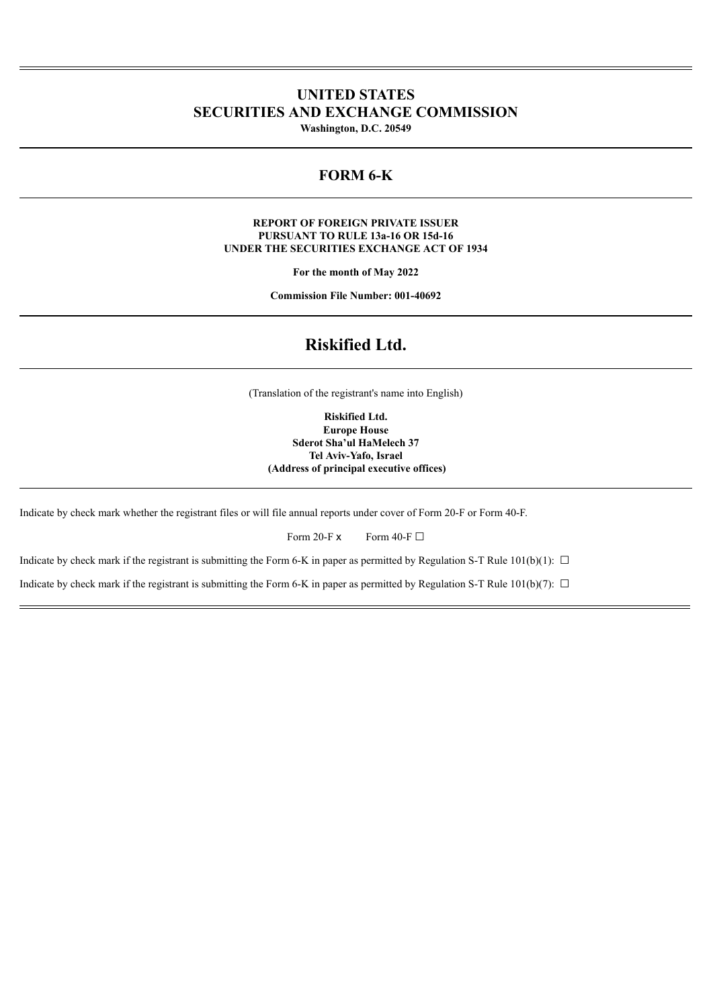# **UNITED STATES SECURITIES AND EXCHANGE COMMISSION**

**Washington, D.C. 20549**

## **FORM 6-K**

#### **REPORT OF FOREIGN PRIVATE ISSUER PURSUANT TO RULE 13a-16 OR 15d-16 UNDER THE SECURITIES EXCHANGE ACT OF 1934**

**For the month of May 2022**

**Commission File Number: 001-40692**

## **Riskified Ltd.**

(Translation of the registrant's name into English)

**Riskified Ltd. Europe House Sderot Sha'ul HaMelech 37 Tel Aviv-Yafo, Israel (Address of principal executive offices)**

Indicate by check mark whether the registrant files or will file annual reports under cover of Form 20-F or Form 40-F.

Form 20-F  $\times$  Form 40-F  $\Box$ 

Indicate by check mark if the registrant is submitting the Form 6-K in paper as permitted by Regulation S-T Rule 101(b)(1):  $\Box$ 

Indicate by check mark if the registrant is submitting the Form 6-K in paper as permitted by Regulation S-T Rule 101(b)(7):  $\Box$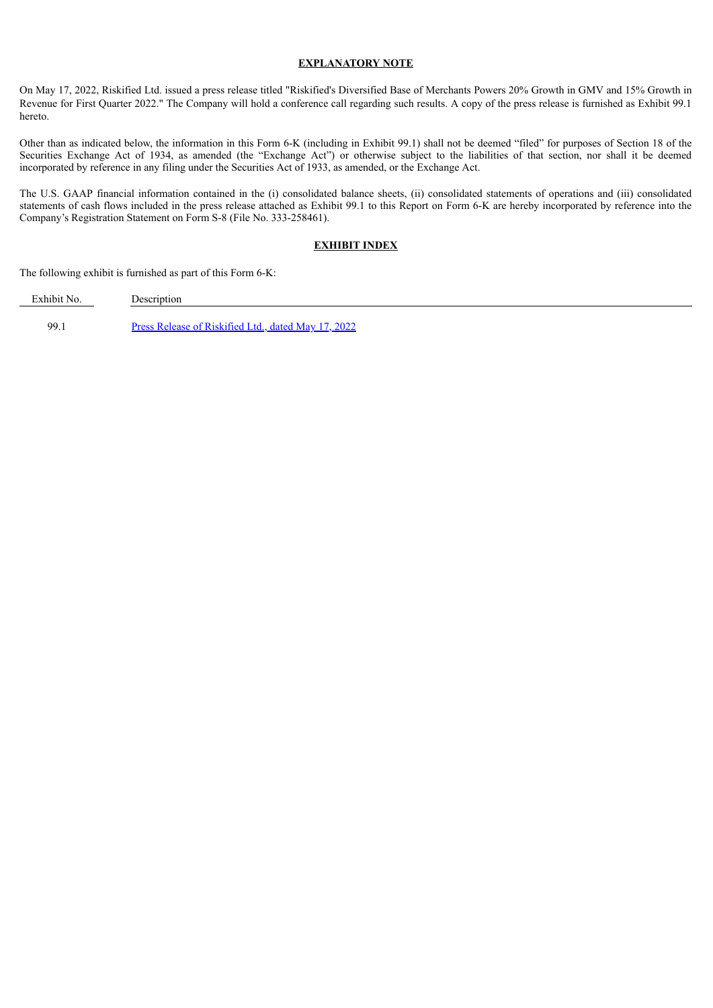#### **EXPLANATORY NOTE**

On May 17, 2022, Riskified Ltd. issued a press release titled "Riskified's Diversified Base of Merchants Powers 20% Growth in GMV and 15% Growth in Revenue for First Quarter 2022." The Company will hold a conference call regarding such results. A copy of the press release is furnished as Exhibit 99.1 hereto.

Other than as indicated below, the information in this Form 6-K (including in Exhibit 99.1) shall not be deemed "filed" for purposes of Section 18 of the Securities Exchange Act of 1934, as amended (the "Exchange Act") or otherwise subject to the liabilities of that section, nor shall it be deemed incorporated by reference in any filing under the Securities Act of 1933, as amended, or the Exchange Act.

The U.S. GAAP financial information contained in the (i) consolidated balance sheets, (ii) consolidated statements of operations and (iii) consolidated statements of cash flows included in the press release attached as Exhibit 99.1 to this Report on Form 6-K are hereby incorporated by reference into the Company's Registration Statement on Form S-8 (File No. 333-258461).

#### **EXHIBIT INDEX**

The following exhibit is furnished as part of this Form 6-K:

Exhibit No. Description

99.1 Press Release of [Riskified](#page-3-0) Ltd., dated May 17, 2022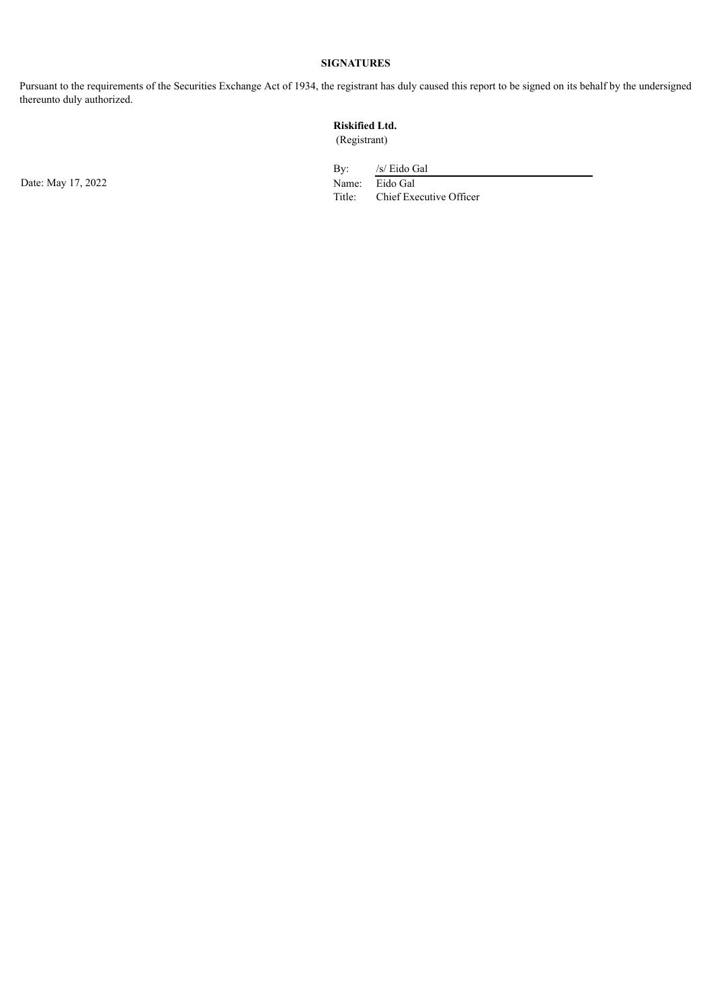## **SIGNATURES**

Pursuant to the requirements of the Securities Exchange Act of 1934, the registrant has duly caused this report to be signed on its behalf by the undersigned thereunto duly authorized.

# **Riskified Ltd.**

(Registrant)

Date: May 17, 2022 Name: Eido Gal

By: /s/ Eido Gal Title: Chief Executive Officer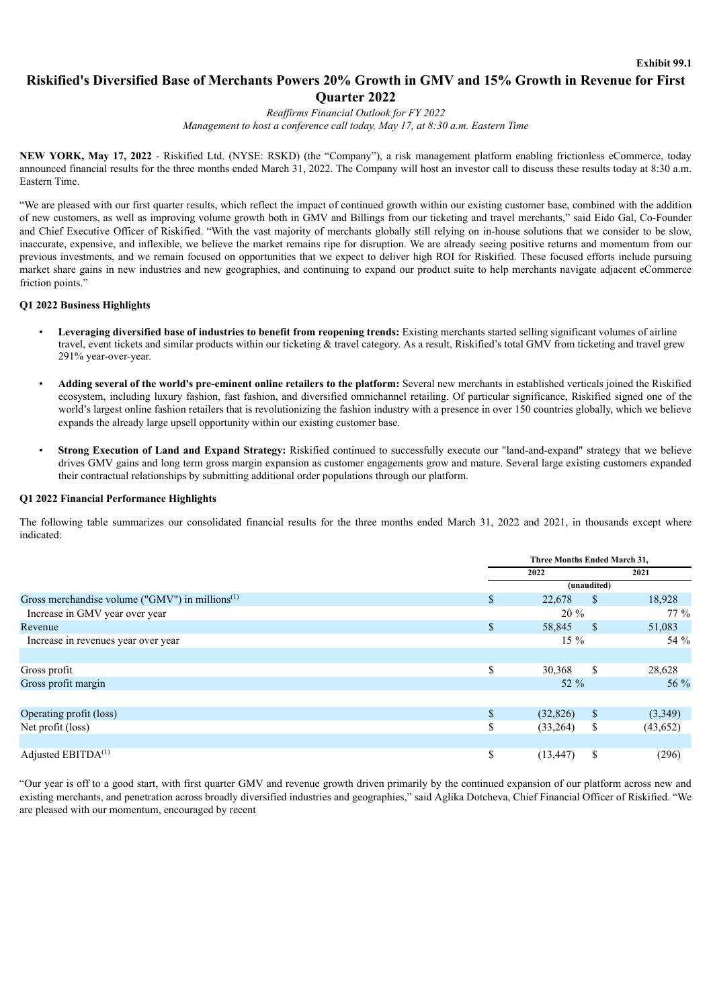## <span id="page-3-0"></span>**Riskified's Diversified Base of Merchants Powers 20% Growth in GMV and 15% Growth in Revenue for First Quarter 2022**

*Reaf irms Financial Outlook for FY 2022 Management to host a conference call today, May 17, at 8:30 a.m. Eastern Time*

**NEW YORK, May 17, 2022** - Riskified Ltd. (NYSE: RSKD) (the "Company"), a risk management platform enabling frictionless eCommerce, today announced financial results for the three months ended March 31, 2022. The Company will host an investor call to discuss these results today at 8:30 a.m. Eastern Time.

"We are pleased with our first quarter results, which reflect the impact of continued growth within our existing customer base, combined with the addition of new customers, as well as improving volume growth both in GMV and Billings from our ticketing and travel merchants," said Eido Gal, Co-Founder and Chief Executive Officer of Riskified. "With the vast majority of merchants globally still relying on in-house solutions that we consider to be slow, inaccurate, expensive, and inflexible, we believe the market remains ripe for disruption. We are already seeing positive returns and momentum from our previous investments, and we remain focused on opportunities that we expect to deliver high ROI for Riskified. These focused efforts include pursuing market share gains in new industries and new geographies, and continuing to expand our product suite to help merchants navigate adjacent eCommerce friction points.'

#### **Q1 2022 Business Highlights**

- **Leveraging diversified base of industries to benefit from reopening trends:** Existing merchants started selling significant volumes of airline travel, event tickets and similar products within our ticketing & travel category. As a result, Riskified's total GMV from ticketing and travel grew 291% year-over-year.
- **Adding several of the world's pre-eminent online retailers to the platform:** Several new merchants in established verticals joined the Riskified ecosystem, including luxury fashion, fast fashion, and diversified omnichannel retailing. Of particular significance, Riskified signed one of the world's largest online fashion retailers that is revolutionizing the fashion industry with a presence in over 150 countries globally, which we believe expands the already large upsell opportunity within our existing customer base.
- **Strong Execution of Land and Expand Strategy:** Riskified continued to successfully execute our "land-and-expand" strategy that we believe drives GMV gains and long term gross margin expansion as customer engagements grow and mature. Several large existing customers expanded their contractual relationships by submitting additional order populations through our platform.

#### **Q1 2022 Financial Performance Highlights**

The following table summarizes our consolidated financial results for the three months ended March 31, 2022 and 2021, in thousands except where indicated:

|                                                    | Three Months Ended March 31, |               |           |  |  |
|----------------------------------------------------|------------------------------|---------------|-----------|--|--|
|                                                    | 2022                         |               | 2021      |  |  |
|                                                    | (unaudited)                  |               |           |  |  |
| Gross merchandise volume ("GMV") in millions $(1)$ | \$<br>22,678                 | <sup>S</sup>  | 18,928    |  |  |
| Increase in GMV year over year                     | $20\%$                       |               | $77\%$    |  |  |
| Revenue                                            | \$<br>58,845                 | - \$          | 51,083    |  |  |
| Increase in revenues year over year                | $15\%$                       |               | 54 %      |  |  |
|                                                    |                              |               |           |  |  |
| Gross profit                                       | \$<br>30,368                 | $\mathbf{s}$  | 28,628    |  |  |
| Gross profit margin                                | $52\%$                       |               | 56 %      |  |  |
|                                                    |                              |               |           |  |  |
| Operating profit (loss)                            | \$<br>(32, 826)              | $\mathbb{S}$  | (3,349)   |  |  |
| Net profit (loss)                                  | \$<br>(33,264)               | \$            | (43, 652) |  |  |
|                                                    |                              |               |           |  |  |
| Adjusted EBITDA <sup>(1)</sup>                     | \$<br>(13, 447)              | <sup>\$</sup> | (296)     |  |  |

"Our year is off to a good start, with first quarter GMV and revenue growth driven primarily by the continued expansion of our platform across new and existing merchants, and penetration across broadly diversified industries and geographies," said Aglika Dotcheva, Chief Financial Officer of Riskified. "We are pleased with our momentum, encouraged by recent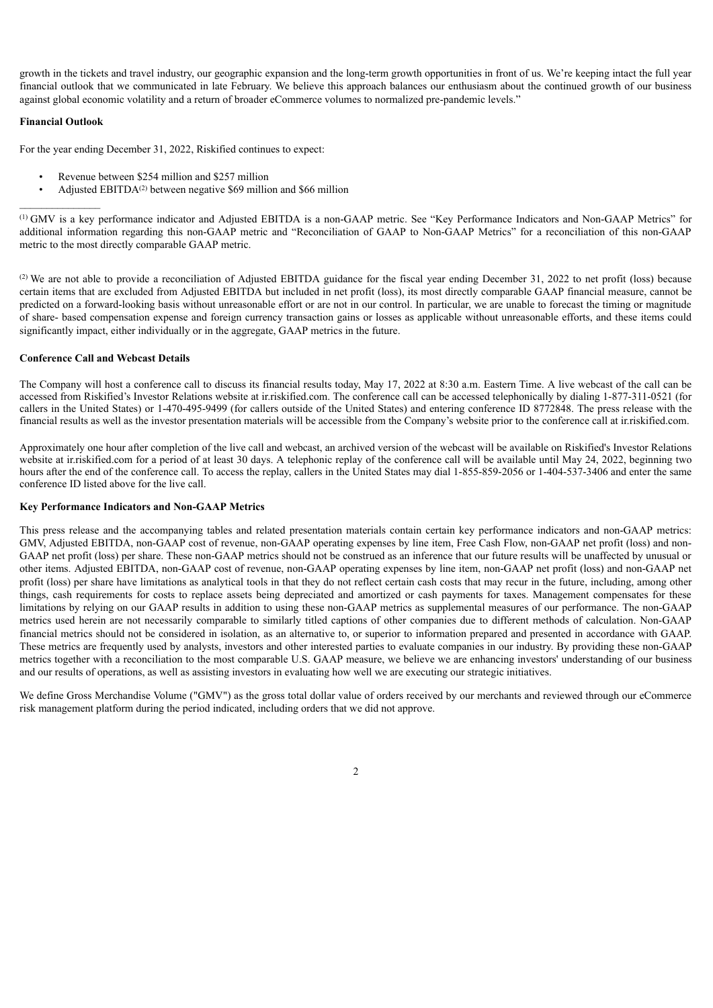growth in the tickets and travel industry, our geographic expansion and the long-term growth opportunities in front of us. We're keeping intact the full year financial outlook that we communicated in late February. We believe this approach balances our enthusiasm about the continued growth of our business against global economic volatility and a return of broader eCommerce volumes to normalized pre-pandemic levels."

#### **Financial Outlook**

For the year ending December 31, 2022, Riskified continues to expect:

- Revenue between \$254 million and \$257 million
- Adjusted EBITDA<sup>(2)</sup> between negative \$69 million and \$66 million

GMV is a key performance indicator and Adjusted EBITDA is a non-GAAP metric. See "Key Performance Indicators and Non-GAAP Metrics" for (1) additional information regarding this non-GAAP metric and "Reconciliation of GAAP to Non-GAAP Metrics" for a reconciliation of this non-GAAP metric to the most directly comparable GAAP metric.

(2) We are not able to provide a reconciliation of Adjusted EBITDA guidance for the fiscal year ending December 31, 2022 to net profit (loss) because certain items that are excluded from Adjusted EBITDA but included in net profit (loss), its most directly comparable GAAP financial measure, cannot be predicted on a forward-looking basis without unreasonable effort or are not in our control. In particular, we are unable to forecast the timing or magnitude of share- based compensation expense and foreign currency transaction gains or losses as applicable without unreasonable efforts, and these items could significantly impact, either individually or in the aggregate, GAAP metrics in the future.

#### **Conference Call and Webcast Details**

The Company will host a conference call to discuss its financial results today, May 17, 2022 at 8:30 a.m. Eastern Time. A live webcast of the call can be accessed from Riskified's Investor Relations website at ir.riskified.com. The conference call can be accessed telephonically by dialing 1-877-311-0521 (for callers in the United States) or 1-470-495-9499 (for callers outside of the United States) and entering conference ID 8772848. The press release with the financial results as well as the investor presentation materials will be accessible from the Company's website prior to the conference call at ir.riskified.com.

Approximately one hour after completion of the live call and webcast, an archived version of the webcast will be available on Riskified's Investor Relations website at ir.riskified.com for a period of at least 30 days. A telephonic replay of the conference call will be available until May 24, 2022, beginning two hours after the end of the conference call. To access the replay, callers in the United States may dial 1-855-859-2056 or 1-404-537-3406 and enter the same conference ID listed above for the live call.

#### **Key Performance Indicators and Non-GAAP Metrics**

This press release and the accompanying tables and related presentation materials contain certain key performance indicators and non-GAAP metrics: GMV, Adjusted EBITDA, non-GAAP cost of revenue, non-GAAP operating expenses by line item, Free Cash Flow, non-GAAP net profit (loss) and non-GAAP net profit (loss) per share. These non-GAAP metrics should not be construed as an inference that our future results will be unaffected by unusual or other items. Adjusted EBITDA, non-GAAP cost of revenue, non-GAAP operating expenses by line item, non-GAAP net profit (loss) and non-GAAP net profit (loss) per share have limitations as analytical tools in that they do not reflect certain cash costs that may recur in the future, including, among other things, cash requirements for costs to replace assets being depreciated and amortized or cash payments for taxes. Management compensates for these limitations by relying on our GAAP results in addition to using these non-GAAP metrics as supplemental measures of our performance. The non-GAAP metrics used herein are not necessarily comparable to similarly titled captions of other companies due to different methods of calculation. Non-GAAP financial metrics should not be considered in isolation, as an alternative to, or superior to information prepared and presented in accordance with GAAP. These metrics are frequently used by analysts, investors and other interested parties to evaluate companies in our industry. By providing these non-GAAP metrics together with a reconciliation to the most comparable U.S. GAAP measure, we believe we are enhancing investors' understanding of our business and our results of operations, as well as assisting investors in evaluating how well we are executing our strategic initiatives.

We define Gross Merchandise Volume ("GMV") as the gross total dollar value of orders received by our merchants and reviewed through our eCommerce risk management platform during the period indicated, including orders that we did not approve.

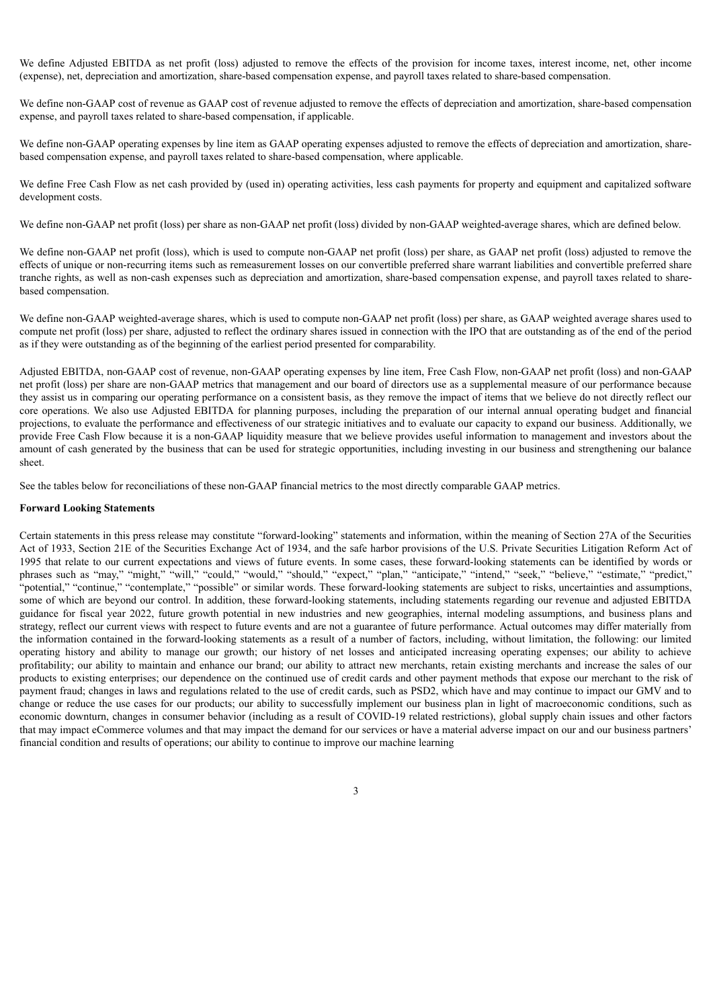We define Adjusted EBITDA as net profit (loss) adjusted to remove the effects of the provision for income taxes, interest income, net, other income (expense), net, depreciation and amortization, share-based compensation expense, and payroll taxes related to share-based compensation.

We define non-GAAP cost of revenue as GAAP cost of revenue adjusted to remove the effects of depreciation and amortization, share-based compensation expense, and payroll taxes related to share-based compensation, if applicable.

We define non-GAAP operating expenses by line item as GAAP operating expenses adjusted to remove the effects of depreciation and amortization, sharebased compensation expense, and payroll taxes related to share-based compensation, where applicable.

We define Free Cash Flow as net cash provided by (used in) operating activities, less cash payments for property and equipment and capitalized software development costs.

We define non-GAAP net profit (loss) per share as non-GAAP net profit (loss) divided by non-GAAP weighted-average shares, which are defined below.

We define non-GAAP net profit (loss), which is used to compute non-GAAP net profit (loss) per share, as GAAP net profit (loss) adjusted to remove the effects of unique or non-recurring items such as remeasurement losses on our convertible preferred share warrant liabilities and convertible preferred share tranche rights, as well as non-cash expenses such as depreciation and amortization, share-based compensation expense, and payroll taxes related to sharebased compensation.

We define non-GAAP weighted-average shares, which is used to compute non-GAAP net profit (loss) per share, as GAAP weighted average shares used to compute net profit (loss) per share, adjusted to reflect the ordinary shares issued in connection with the IPO that are outstanding as of the end of the period as if they were outstanding as of the beginning of the earliest period presented for comparability.

Adjusted EBITDA, non-GAAP cost of revenue, non-GAAP operating expenses by line item, Free Cash Flow, non-GAAP net profit (loss) and non-GAAP net profit (loss) per share are non-GAAP metrics that management and our board of directors use as a supplemental measure of our performance because they assist us in comparing our operating performance on a consistent basis, as they remove the impact of items that we believe do not directly reflect our core operations. We also use Adjusted EBITDA for planning purposes, including the preparation of our internal annual operating budget and financial projections, to evaluate the performance and effectiveness of our strategic initiatives and to evaluate our capacity to expand our business. Additionally, we provide Free Cash Flow because it is a non-GAAP liquidity measure that we believe provides useful information to management and investors about the amount of cash generated by the business that can be used for strategic opportunities, including investing in our business and strengthening our balance sheet.

See the tables below for reconciliations of these non-GAAP financial metrics to the most directly comparable GAAP metrics.

#### **Forward Looking Statements**

Certain statements in this press release may constitute "forward-looking" statements and information, within the meaning of Section 27A of the Securities Act of 1933, Section 21E of the Securities Exchange Act of 1934, and the safe harbor provisions of the U.S. Private Securities Litigation Reform Act of 1995 that relate to our current expectations and views of future events. In some cases, these forward-looking statements can be identified by words or phrases such as "may," "might," "will," "could," "would," "should," "expect," "plan," "anticipate," "intend," "seek," "believe," "estimate," "predict," "potential," "continue," "contemplate," "possible" or similar words. These forward-looking statements are subject to risks, uncertainties and assumptions, some of which are beyond our control. In addition, these forward-looking statements, including statements regarding our revenue and adjusted EBITDA guidance for fiscal year 2022, future growth potential in new industries and new geographies, internal modeling assumptions, and business plans and strategy, reflect our current views with respect to future events and are not a guarantee of future performance. Actual outcomes may differ materially from the information contained in the forward-looking statements as a result of a number of factors, including, without limitation, the following: our limited operating history and ability to manage our growth; our history of net losses and anticipated increasing operating expenses; our ability to achieve profitability; our ability to maintain and enhance our brand; our ability to attract new merchants, retain existing merchants and increase the sales of our products to existing enterprises; our dependence on the continued use of credit cards and other payment methods that expose our merchant to the risk of payment fraud; changes in laws and regulations related to the use of credit cards, such as PSD2, which have and may continue to impact our GMV and to change or reduce the use cases for our products; our ability to successfully implement our business plan in light of macroeconomic conditions, such as economic downturn, changes in consumer behavior (including as a result of COVID-19 related restrictions), global supply chain issues and other factors that may impact eCommerce volumes and that may impact the demand for our services or have a material adverse impact on our and our business partners' financial condition and results of operations; our ability to continue to improve our machine learning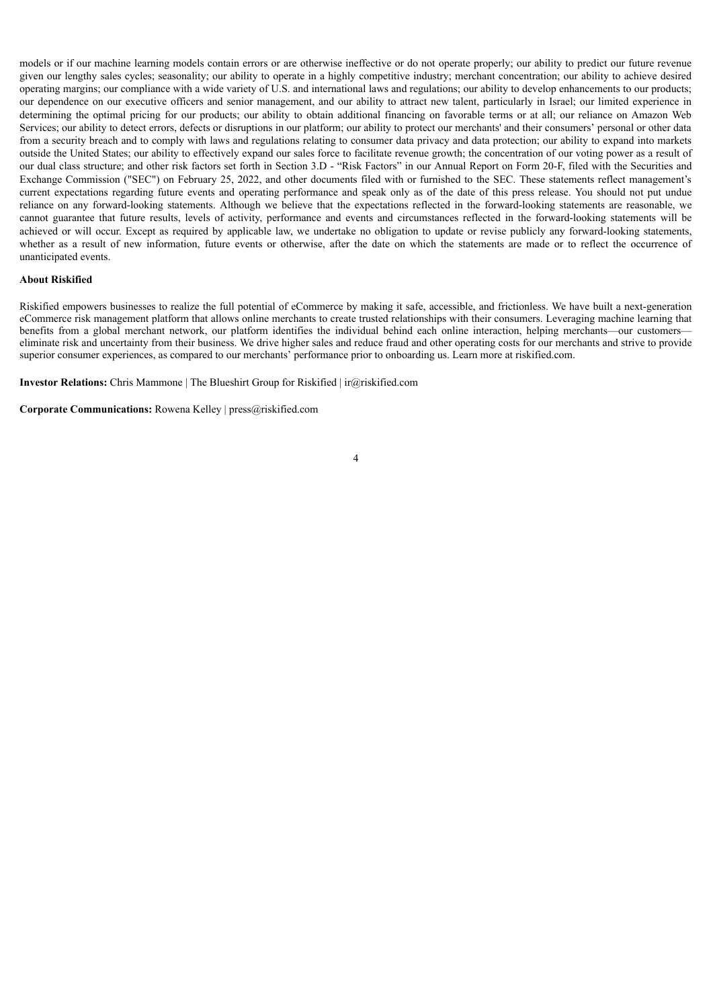models or if our machine learning models contain errors or are otherwise ineffective or do not operate properly; our ability to predict our future revenue given our lengthy sales cycles; seasonality; our ability to operate in a highly competitive industry; merchant concentration; our ability to achieve desired operating margins; our compliance with a wide variety of U.S. and international laws and regulations; our ability to develop enhancements to our products; our dependence on our executive officers and senior management, and our ability to attract new talent, particularly in Israel; our limited experience in determining the optimal pricing for our products; our ability to obtain additional financing on favorable terms or at all; our reliance on Amazon Web Services; our ability to detect errors, defects or disruptions in our platform; our ability to protect our merchants' and their consumers' personal or other data from a security breach and to comply with laws and regulations relating to consumer data privacy and data protection; our ability to expand into markets outside the United States; our ability to effectively expand our sales force to facilitate revenue growth; the concentration of our voting power as a result of our dual class structure; and other risk factors set forth in Section 3.D - "Risk Factors" in our Annual Report on Form 20-F, filed with the Securities and Exchange Commission ("SEC") on February 25, 2022, and other documents filed with or furnished to the SEC. These statements reflect management's current expectations regarding future events and operating performance and speak only as of the date of this press release. You should not put undue reliance on any forward-looking statements. Although we believe that the expectations reflected in the forward-looking statements are reasonable, we cannot guarantee that future results, levels of activity, performance and events and circumstances reflected in the forward-looking statements will be achieved or will occur. Except as required by applicable law, we undertake no obligation to update or revise publicly any forward-looking statements, whether as a result of new information, future events or otherwise, after the date on which the statements are made or to reflect the occurrence of unanticipated events.

#### **About Riskified**

Riskified empowers businesses to realize the full potential of eCommerce by making it safe, accessible, and frictionless. We have built a next-generation eCommerce risk management platform that allows online merchants to create trusted relationships with their consumers. Leveraging machine learning that benefits from a global merchant network, our platform identifies the individual behind each online interaction, helping merchants—our customers eliminate risk and uncertainty from their business. We drive higher sales and reduce fraud and other operating costs for our merchants and strive to provide superior consumer experiences, as compared to our merchants' performance prior to onboarding us. Learn more at riskified.com.

**Investor Relations:** Chris Mammone | The Blueshirt Group for Riskified | ir@riskified.com

**Corporate Communications:** Rowena Kelley | press@riskified.com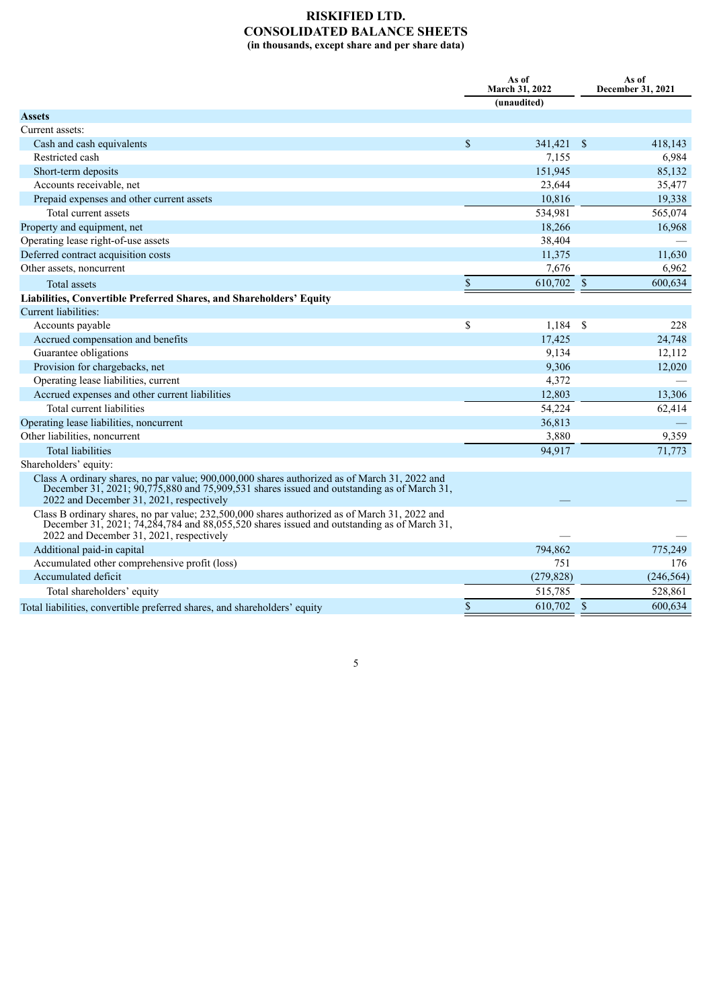## **RISKIFIED LTD. CONSOLIDATED BALANCE SHEETS (in thousands, except share and per share data)**

|                                                                                                                                                                                                                                             | As of<br>March 31, 2022 |                    | As of<br>December 31, 2021 |  |
|---------------------------------------------------------------------------------------------------------------------------------------------------------------------------------------------------------------------------------------------|-------------------------|--------------------|----------------------------|--|
|                                                                                                                                                                                                                                             | (unaudited)             |                    |                            |  |
| <b>Assets</b>                                                                                                                                                                                                                               |                         |                    |                            |  |
| Current assets:                                                                                                                                                                                                                             |                         |                    |                            |  |
| Cash and cash equivalents                                                                                                                                                                                                                   | \$<br>341,421 \$        |                    | 418,143                    |  |
| Restricted cash                                                                                                                                                                                                                             | 7,155                   |                    | 6,984                      |  |
| Short-term deposits                                                                                                                                                                                                                         | 151,945                 |                    | 85,132                     |  |
| Accounts receivable, net                                                                                                                                                                                                                    | 23,644                  |                    | 35,477                     |  |
| Prepaid expenses and other current assets                                                                                                                                                                                                   | 10,816                  |                    | 19,338                     |  |
| Total current assets                                                                                                                                                                                                                        | 534,981                 |                    | 565,074                    |  |
| Property and equipment, net                                                                                                                                                                                                                 | 18,266                  |                    | 16,968                     |  |
| Operating lease right-of-use assets                                                                                                                                                                                                         | 38,404                  |                    |                            |  |
| Deferred contract acquisition costs                                                                                                                                                                                                         | 11,375                  |                    | 11,630                     |  |
| Other assets, noncurrent                                                                                                                                                                                                                    | 7,676                   |                    | 6,962                      |  |
| Total assets                                                                                                                                                                                                                                | \$<br>610,702 \$        |                    | 600,634                    |  |
| Liabilities, Convertible Preferred Shares, and Shareholders' Equity                                                                                                                                                                         |                         |                    |                            |  |
| Current liabilities:                                                                                                                                                                                                                        |                         |                    |                            |  |
| Accounts payable                                                                                                                                                                                                                            | \$<br>1,184             | $\mathbf{\hat{s}}$ | 228                        |  |
| Accrued compensation and benefits                                                                                                                                                                                                           | 17,425                  |                    | 24,748                     |  |
| Guarantee obligations                                                                                                                                                                                                                       | 9,134                   |                    | 12,112                     |  |
| Provision for chargebacks, net                                                                                                                                                                                                              | 9,306                   |                    | 12,020                     |  |
| Operating lease liabilities, current                                                                                                                                                                                                        | 4,372                   |                    |                            |  |
| Accrued expenses and other current liabilities                                                                                                                                                                                              | 12,803                  |                    | 13,306                     |  |
| Total current liabilities                                                                                                                                                                                                                   | 54,224                  |                    | 62,414                     |  |
| Operating lease liabilities, noncurrent                                                                                                                                                                                                     | 36,813                  |                    |                            |  |
| Other liabilities, noncurrent                                                                                                                                                                                                               | 3,880                   |                    | 9,359                      |  |
| <b>Total liabilities</b>                                                                                                                                                                                                                    | 94,917                  |                    | 71,773                     |  |
| Shareholders' equity:                                                                                                                                                                                                                       |                         |                    |                            |  |
| Class A ordinary shares, no par value; 900,000,000 shares authorized as of March 31, 2022 and<br>December 31, 2021; $90,775,880$ and 75,909,531 shares issued and outstanding as of March 31,                                               |                         |                    |                            |  |
| 2022 and December 31, 2021, respectively                                                                                                                                                                                                    |                         |                    |                            |  |
| Class B ordinary shares, no par value; 232,500,000 shares authorized as of March 31, 2022 and<br>December 31, 2021; 74, 284, 784 and 88, 055, 520 shares issued and outstanding as of March 31,<br>2022 and December 31, 2021, respectively |                         |                    |                            |  |
| Additional paid-in capital                                                                                                                                                                                                                  | 794,862                 |                    | 775,249                    |  |
| Accumulated other comprehensive profit (loss)                                                                                                                                                                                               | 751                     |                    | 176                        |  |
| Accumulated deficit                                                                                                                                                                                                                         | (279, 828)              |                    | (246, 564)                 |  |
| Total shareholders' equity                                                                                                                                                                                                                  | 515,785                 |                    | 528,861                    |  |
| Total liabilities, convertible preferred shares, and shareholders' equity                                                                                                                                                                   | \$<br>610,702 \$        |                    | 600,634                    |  |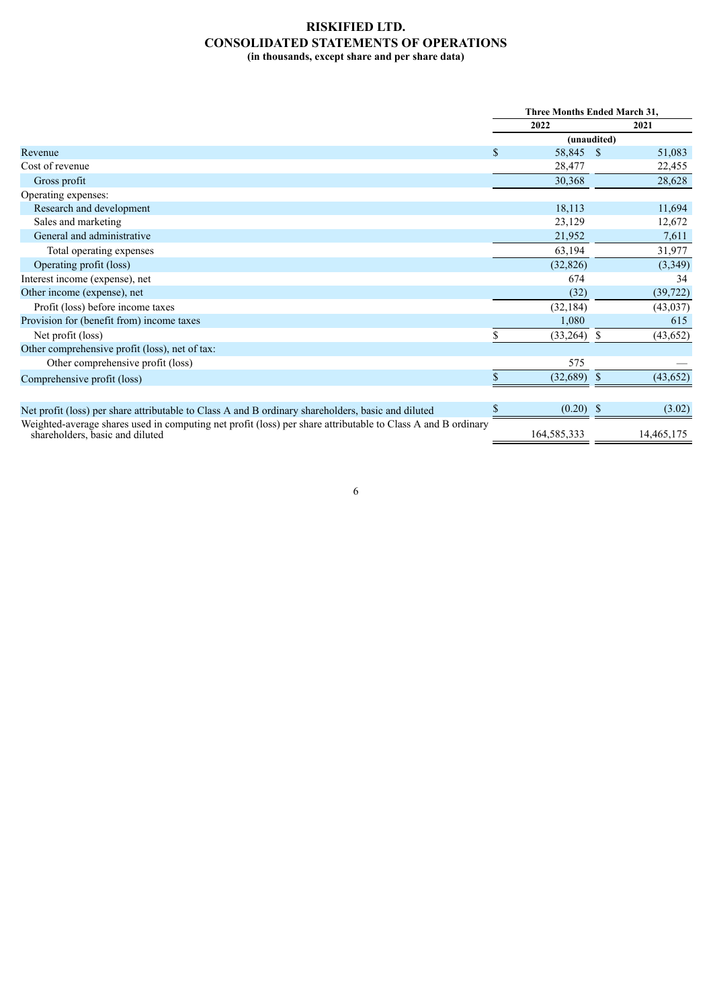### **RISKIFIED LTD. CONSOLIDATED STATEMENTS OF OPERATIONS (in thousands, except share and per share data)**

|                                                                                                                                                 |     | <b>Three Months Ended March 31,</b> |               |            |
|-------------------------------------------------------------------------------------------------------------------------------------------------|-----|-------------------------------------|---------------|------------|
|                                                                                                                                                 |     | 2022                                |               | 2021       |
|                                                                                                                                                 |     | (unaudited)                         |               |            |
| Revenue                                                                                                                                         | \$. | 58,845 \$                           |               | 51,083     |
| Cost of revenue                                                                                                                                 |     | 28,477                              |               | 22,455     |
| Gross profit                                                                                                                                    |     | 30,368                              |               | 28,628     |
| Operating expenses:                                                                                                                             |     |                                     |               |            |
| Research and development                                                                                                                        |     | 18,113                              |               | 11,694     |
| Sales and marketing                                                                                                                             |     | 23,129                              |               | 12,672     |
| General and administrative                                                                                                                      |     | 21,952                              |               | 7,611      |
| Total operating expenses                                                                                                                        |     | 63,194                              |               | 31,977     |
| Operating profit (loss)                                                                                                                         |     | (32, 826)                           |               | (3,349)    |
| Interest income (expense), net                                                                                                                  |     | 674                                 |               | 34         |
| Other income (expense), net                                                                                                                     |     | (32)                                |               | (39, 722)  |
| Profit (loss) before income taxes                                                                                                               |     | (32, 184)                           |               | (43, 037)  |
| Provision for (benefit from) income taxes                                                                                                       |     | 1,080                               |               | 615        |
| Net profit (loss)                                                                                                                               |     | $(33,264)$ \$                       |               | (43, 652)  |
| Other comprehensive profit (loss), net of tax:                                                                                                  |     |                                     |               |            |
| Other comprehensive profit (loss)                                                                                                               |     | 575                                 |               |            |
| Comprehensive profit (loss)                                                                                                                     |     | (32, 689)                           | <sup>\$</sup> | (43, 652)  |
|                                                                                                                                                 |     |                                     |               |            |
| Net profit (loss) per share attributable to Class A and B ordinary shareholders, basic and diluted                                              |     | $(0.20)$ \$                         |               | (3.02)     |
| Weighted-average shares used in computing net profit (loss) per share attributable to Class A and B ordinary<br>shareholders, basic and diluted |     | 164,585,333                         |               | 14,465,175 |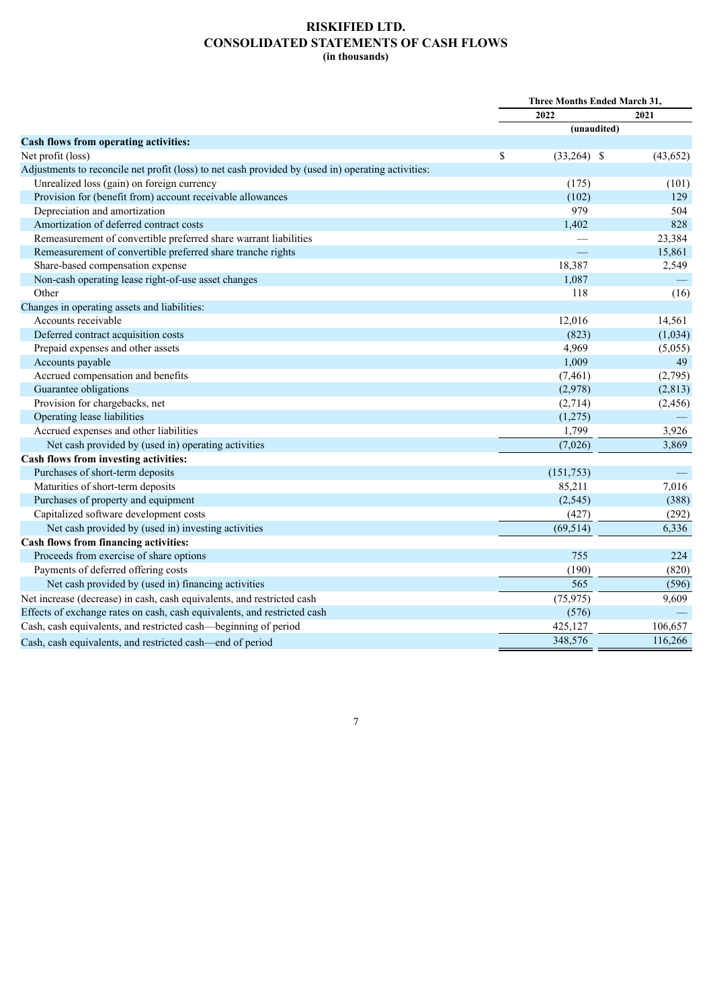## **RISKIFIED LTD. CONSOLIDATED STATEMENTS OF CASH FLOWS (in thousands)**

| 2022<br>2021<br>(unaudited)<br><b>Cash flows from operating activities:</b><br>Net profit (loss)<br>\$<br>$(33,264)$ \$<br>(43, 652)<br>Adjustments to reconcile net profit (loss) to net cash provided by (used in) operating activities:<br>Unrealized loss (gain) on foreign currency<br>(175)<br>(101)<br>Provision for (benefit from) account receivable allowances<br>(102)<br>129<br>Depreciation and amortization<br>979<br>504<br>828<br>Amortization of deferred contract costs<br>1,402<br>Remeasurement of convertible preferred share warrant liabilities<br>23,384<br>Remeasurement of convertible preferred share tranche rights<br>15,861<br>Share-based compensation expense<br>18,387<br>2,549<br>Non-cash operating lease right-of-use asset changes<br>1,087<br>Other<br>118<br>(16)<br>Changes in operating assets and liabilities: |                     | Three Months Ended March 31, |        |
|----------------------------------------------------------------------------------------------------------------------------------------------------------------------------------------------------------------------------------------------------------------------------------------------------------------------------------------------------------------------------------------------------------------------------------------------------------------------------------------------------------------------------------------------------------------------------------------------------------------------------------------------------------------------------------------------------------------------------------------------------------------------------------------------------------------------------------------------------------|---------------------|------------------------------|--------|
|                                                                                                                                                                                                                                                                                                                                                                                                                                                                                                                                                                                                                                                                                                                                                                                                                                                          |                     |                              |        |
|                                                                                                                                                                                                                                                                                                                                                                                                                                                                                                                                                                                                                                                                                                                                                                                                                                                          |                     |                              |        |
|                                                                                                                                                                                                                                                                                                                                                                                                                                                                                                                                                                                                                                                                                                                                                                                                                                                          |                     |                              |        |
|                                                                                                                                                                                                                                                                                                                                                                                                                                                                                                                                                                                                                                                                                                                                                                                                                                                          |                     |                              |        |
|                                                                                                                                                                                                                                                                                                                                                                                                                                                                                                                                                                                                                                                                                                                                                                                                                                                          |                     |                              |        |
|                                                                                                                                                                                                                                                                                                                                                                                                                                                                                                                                                                                                                                                                                                                                                                                                                                                          |                     |                              |        |
|                                                                                                                                                                                                                                                                                                                                                                                                                                                                                                                                                                                                                                                                                                                                                                                                                                                          |                     |                              |        |
|                                                                                                                                                                                                                                                                                                                                                                                                                                                                                                                                                                                                                                                                                                                                                                                                                                                          |                     |                              |        |
|                                                                                                                                                                                                                                                                                                                                                                                                                                                                                                                                                                                                                                                                                                                                                                                                                                                          |                     |                              |        |
|                                                                                                                                                                                                                                                                                                                                                                                                                                                                                                                                                                                                                                                                                                                                                                                                                                                          |                     |                              |        |
|                                                                                                                                                                                                                                                                                                                                                                                                                                                                                                                                                                                                                                                                                                                                                                                                                                                          |                     |                              |        |
|                                                                                                                                                                                                                                                                                                                                                                                                                                                                                                                                                                                                                                                                                                                                                                                                                                                          |                     |                              |        |
|                                                                                                                                                                                                                                                                                                                                                                                                                                                                                                                                                                                                                                                                                                                                                                                                                                                          |                     |                              |        |
|                                                                                                                                                                                                                                                                                                                                                                                                                                                                                                                                                                                                                                                                                                                                                                                                                                                          |                     |                              |        |
|                                                                                                                                                                                                                                                                                                                                                                                                                                                                                                                                                                                                                                                                                                                                                                                                                                                          |                     |                              |        |
|                                                                                                                                                                                                                                                                                                                                                                                                                                                                                                                                                                                                                                                                                                                                                                                                                                                          | Accounts receivable | 12,016                       | 14,561 |
| Deferred contract acquisition costs<br>(823)<br>(1,034)                                                                                                                                                                                                                                                                                                                                                                                                                                                                                                                                                                                                                                                                                                                                                                                                  |                     |                              |        |
| Prepaid expenses and other assets<br>4,969<br>(5,055)                                                                                                                                                                                                                                                                                                                                                                                                                                                                                                                                                                                                                                                                                                                                                                                                    |                     |                              |        |
| Accounts payable<br>1,009<br>49                                                                                                                                                                                                                                                                                                                                                                                                                                                                                                                                                                                                                                                                                                                                                                                                                          |                     |                              |        |
| Accrued compensation and benefits<br>(7, 461)<br>(2,795)                                                                                                                                                                                                                                                                                                                                                                                                                                                                                                                                                                                                                                                                                                                                                                                                 |                     |                              |        |
| Guarantee obligations<br>(2,978)<br>(2, 813)                                                                                                                                                                                                                                                                                                                                                                                                                                                                                                                                                                                                                                                                                                                                                                                                             |                     |                              |        |
| Provision for chargebacks, net<br>(2,714)<br>(2, 456)                                                                                                                                                                                                                                                                                                                                                                                                                                                                                                                                                                                                                                                                                                                                                                                                    |                     |                              |        |
| Operating lease liabilities<br>(1,275)                                                                                                                                                                                                                                                                                                                                                                                                                                                                                                                                                                                                                                                                                                                                                                                                                   |                     |                              |        |
| Accrued expenses and other liabilities<br>1,799<br>3,926                                                                                                                                                                                                                                                                                                                                                                                                                                                                                                                                                                                                                                                                                                                                                                                                 |                     |                              |        |
| Net cash provided by (used in) operating activities<br>(7,026)<br>3,869                                                                                                                                                                                                                                                                                                                                                                                                                                                                                                                                                                                                                                                                                                                                                                                  |                     |                              |        |
| Cash flows from investing activities:                                                                                                                                                                                                                                                                                                                                                                                                                                                                                                                                                                                                                                                                                                                                                                                                                    |                     |                              |        |
| Purchases of short-term deposits<br>(151,753)                                                                                                                                                                                                                                                                                                                                                                                                                                                                                                                                                                                                                                                                                                                                                                                                            |                     |                              |        |
| Maturities of short-term deposits<br>85,211<br>7,016                                                                                                                                                                                                                                                                                                                                                                                                                                                                                                                                                                                                                                                                                                                                                                                                     |                     |                              |        |
| Purchases of property and equipment<br>(2, 545)<br>(388)                                                                                                                                                                                                                                                                                                                                                                                                                                                                                                                                                                                                                                                                                                                                                                                                 |                     |                              |        |
| Capitalized software development costs<br>(427)<br>(292)                                                                                                                                                                                                                                                                                                                                                                                                                                                                                                                                                                                                                                                                                                                                                                                                 |                     |                              |        |
| Net cash provided by (used in) investing activities<br>(69, 514)<br>6,336                                                                                                                                                                                                                                                                                                                                                                                                                                                                                                                                                                                                                                                                                                                                                                                |                     |                              |        |
| Cash flows from financing activities:                                                                                                                                                                                                                                                                                                                                                                                                                                                                                                                                                                                                                                                                                                                                                                                                                    |                     |                              |        |
| Proceeds from exercise of share options<br>755<br>224                                                                                                                                                                                                                                                                                                                                                                                                                                                                                                                                                                                                                                                                                                                                                                                                    |                     |                              |        |
| Payments of deferred offering costs<br>(190)<br>(820)                                                                                                                                                                                                                                                                                                                                                                                                                                                                                                                                                                                                                                                                                                                                                                                                    |                     |                              |        |
| 565<br>Net cash provided by (used in) financing activities<br>(596)                                                                                                                                                                                                                                                                                                                                                                                                                                                                                                                                                                                                                                                                                                                                                                                      |                     |                              |        |
| Net increase (decrease) in cash, cash equivalents, and restricted cash<br>(75, 975)<br>9,609                                                                                                                                                                                                                                                                                                                                                                                                                                                                                                                                                                                                                                                                                                                                                             |                     |                              |        |
| Effects of exchange rates on cash, cash equivalents, and restricted cash<br>(576)                                                                                                                                                                                                                                                                                                                                                                                                                                                                                                                                                                                                                                                                                                                                                                        |                     |                              |        |
| Cash, cash equivalents, and restricted cash—beginning of period<br>425,127<br>106,657                                                                                                                                                                                                                                                                                                                                                                                                                                                                                                                                                                                                                                                                                                                                                                    |                     |                              |        |
| 116,266<br>348,576<br>Cash, cash equivalents, and restricted cash—end of period                                                                                                                                                                                                                                                                                                                                                                                                                                                                                                                                                                                                                                                                                                                                                                          |                     |                              |        |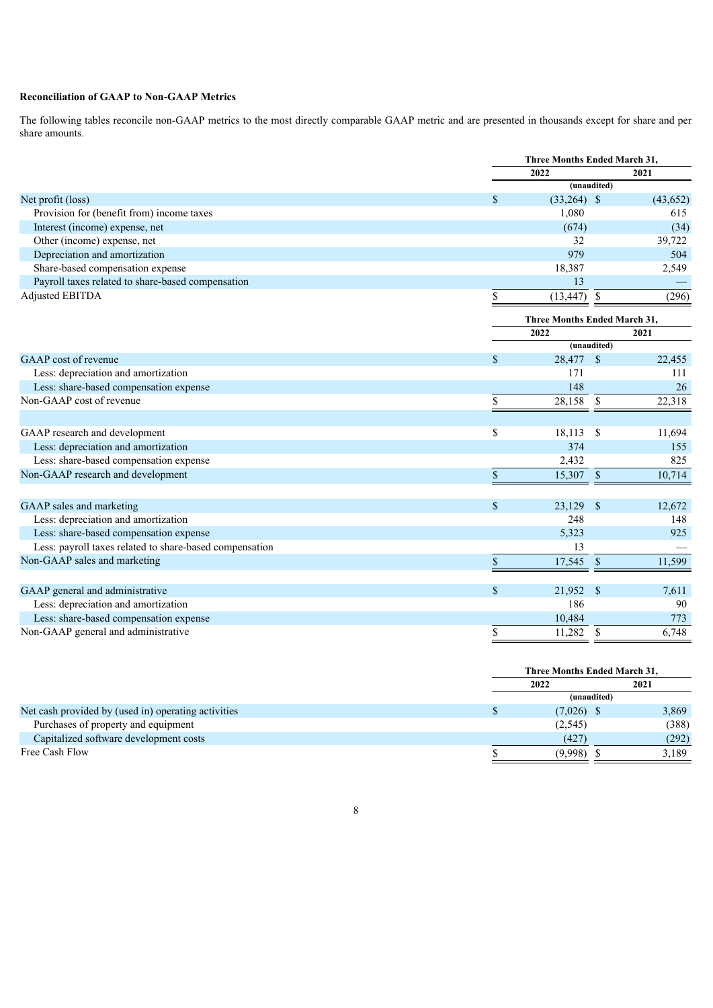## **Reconciliation of GAAP to Non-GAAP Metrics**

The following tables reconcile non-GAAP metrics to the most directly comparable GAAP metric and are presented in thousands except for share and per share amounts.

|                                                         |               | <b>Three Months Ended March 31.</b> |                        |  |
|---------------------------------------------------------|---------------|-------------------------------------|------------------------|--|
|                                                         |               | 2022                                | 2021                   |  |
|                                                         |               | (unaudited)                         |                        |  |
| Net profit (loss)                                       | \$            | $(33,264)$ \$                       | (43, 652)              |  |
| Provision for (benefit from) income taxes               |               | 1,080                               | 615                    |  |
| Interest (income) expense, net                          |               | (674)                               | (34)                   |  |
| Other (income) expense, net                             |               | 32                                  | 39,722                 |  |
| Depreciation and amortization                           |               | 979                                 | 504                    |  |
| Share-based compensation expense                        |               | 18,387                              | 2,549                  |  |
| Payroll taxes related to share-based compensation       |               | 13                                  |                        |  |
| <b>Adjusted EBITDA</b>                                  | \$            | (13, 447)                           | \$<br>(296)            |  |
|                                                         |               | <b>Three Months Ended March 31,</b> |                        |  |
|                                                         |               | 2022                                | 2021                   |  |
|                                                         |               | (unaudited)                         |                        |  |
| GAAP cost of revenue                                    | \$            | 28,477 \$                           | 22,455                 |  |
| Less: depreciation and amortization                     |               | 171                                 | 111                    |  |
| Less: share-based compensation expense                  |               | 148                                 | 26                     |  |
| Non-GAAP cost of revenue                                | \$            | 28,158                              | 22,318<br>$\mathbb{S}$ |  |
|                                                         |               |                                     |                        |  |
| GAAP research and development                           | \$            | 18,113                              | $\mathbb{S}$<br>11,694 |  |
| Less: depreciation and amortization                     |               | 374                                 | 155                    |  |
| Less: share-based compensation expense                  |               | 2,432                               | 825                    |  |
| Non-GAAP research and development                       | \$            | 15,307                              | $\sqrt{3}$<br>10,714   |  |
|                                                         |               |                                     |                        |  |
| GAAP sales and marketing                                | $\mathcal{S}$ | 23,129                              | -S<br>12,672           |  |
| Less: depreciation and amortization                     |               | 248                                 | 148                    |  |
| Less: share-based compensation expense                  |               | 5,323                               | 925                    |  |
| Less: payroll taxes related to share-based compensation |               | 13                                  |                        |  |
| Non-GAAP sales and marketing                            | \$            | 17,545                              | 11,599<br>$\mathbb{S}$ |  |
|                                                         |               |                                     |                        |  |
| GAAP general and administrative                         | \$            | 21,952<br>$\mathbf{\hat{s}}$        | 7,611                  |  |
| Less: depreciation and amortization                     |               | 186                                 | 90                     |  |
| Less: share-based compensation expense                  |               | 10,484                              | 773                    |  |
| Non-GAAP general and administrative                     | \$            | 11,282                              | \$<br>6,748            |  |
|                                                         |               |                                     |                        |  |

|                                                     | Three Months Ended March 31, |       |  |
|-----------------------------------------------------|------------------------------|-------|--|
|                                                     | 2022                         | 2021  |  |
|                                                     | (unaudited)                  |       |  |
| Net cash provided by (used in) operating activities | $(7,026)$ \$                 | 3,869 |  |
| Purchases of property and equipment                 | (2,545)                      | (388) |  |
| Capitalized software development costs              | (427)                        | (292) |  |
| Free Cash Flow                                      | (9.998)                      | 3.189 |  |
|                                                     |                              |       |  |